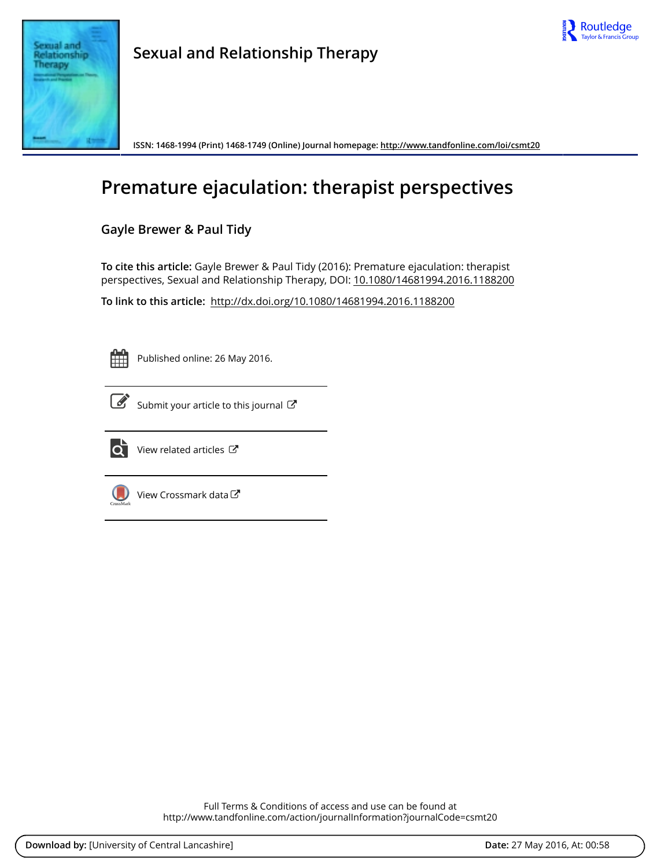



**Sexual and Relationship Therapy**

**ISSN: 1468-1994 (Print) 1468-1749 (Online) Journal homepage:<http://www.tandfonline.com/loi/csmt20>**

# **Premature ejaculation: therapist perspectives**

# **Gayle Brewer & Paul Tidy**

**To cite this article:** Gayle Brewer & Paul Tidy (2016): Premature ejaculation: therapist perspectives, Sexual and Relationship Therapy, DOI: [10.1080/14681994.2016.1188200](http://www.tandfonline.com/action/showCitFormats?doi=10.1080/14681994.2016.1188200)

**To link to this article:** <http://dx.doi.org/10.1080/14681994.2016.1188200>

Published online: 26 May 2016.



[Submit your article to this journal](http://www.tandfonline.com/action/authorSubmission?journalCode=csmt20&page=instructions)  $\mathbb{Z}$ 



 $\overrightarrow{Q}$  [View related articles](http://www.tandfonline.com/doi/mlt/10.1080/14681994.2016.1188200)  $\overrightarrow{C}$ 



[View Crossmark data](http://crossmark.crossref.org/dialog/?doi=10.1080/14681994.2016.1188200&domain=pdf&date_stamp=2016-05-26)

Full Terms & Conditions of access and use can be found at <http://www.tandfonline.com/action/journalInformation?journalCode=csmt20>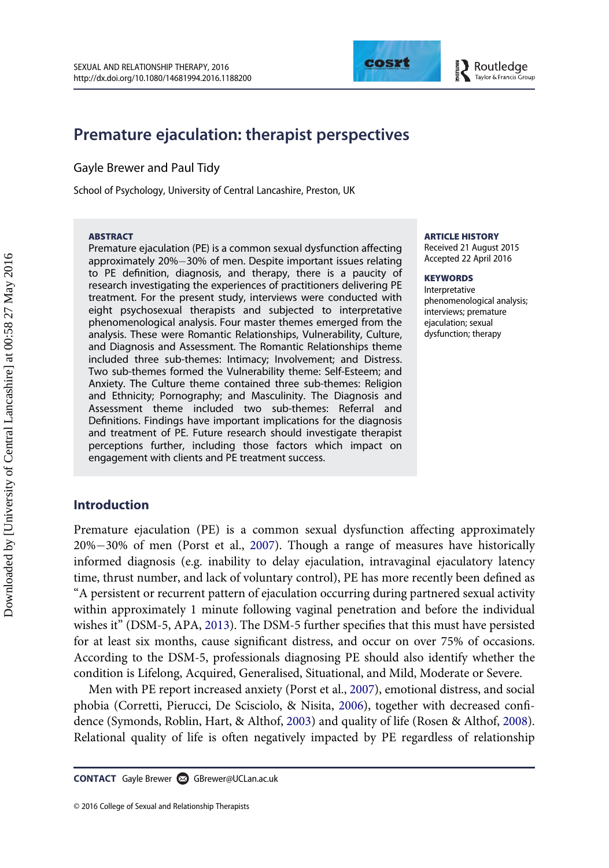

**Explorer Second**<br> **Explorer Francis Gro** Taylor & Francis Group

# Premature ejaculation: therapist perspectives

Gayle Brewer and Paul Tidy

School of Psychology, University of Central Lancashire, Preston, UK

#### ABSTRACT

Premature ejaculation (PE) is a common sexual dysfunction affecting approximately 20%-30% of men. Despite important issues relating to PE definition, diagnosis, and therapy, there is a paucity of research investigating the experiences of practitioners delivering PE treatment. For the present study, interviews were conducted with eight psychosexual therapists and subjected to interpretative phenomenological analysis. Four master themes emerged from the analysis. These were Romantic Relationships, Vulnerability, Culture, and Diagnosis and Assessment. The Romantic Relationships theme included three sub-themes: Intimacy; Involvement; and Distress. Two sub-themes formed the Vulnerability theme: Self-Esteem; and Anxiety. The Culture theme contained three sub-themes: Religion and Ethnicity; Pornography; and Masculinity. The Diagnosis and Assessment theme included two sub-themes: Referral and Definitions. Findings have important implications for the diagnosis and treatment of PE. Future research should investigate therapist perceptions further, including those factors which impact on engagement with clients and PE treatment success.

#### ARTICLE HISTORY

Received 21 August 2015 Accepted 22 April 2016

#### **KEYWORDS**

Interpretative phenomenological analysis; interviews; premature ejaculation; sexual dysfunction; therapy

# Introduction

Premature ejaculation (PE) is a common sexual dysfunction affecting approximately  $20\% - 30\%$  of men (Porst et al., [2007\)](#page-13-0). Though a range of measures have historically informed diagnosis (e.g. inability to delay ejaculation, intravaginal ejaculatory latency time, thrust number, and lack of voluntary control), PE has more recently been defined as "A persistent or recurrent pattern of ejaculation occurring during partnered sexual activity within approximately 1 minute following vaginal penetration and before the individual wishes it" (DSM-5, APA, [2013](#page-12-0)). The DSM-5 further specifies that this must have persisted for at least six months, cause significant distress, and occur on over 75% of occasions. According to the DSM-5, professionals diagnosing PE should also identify whether the condition is Lifelong, Acquired, Generalised, Situational, and Mild, Moderate or Severe.

<span id="page-1-3"></span><span id="page-1-2"></span><span id="page-1-1"></span><span id="page-1-0"></span>Men with PE report increased anxiety (Porst et al., [2007](#page-13-0)), emotional distress, and social phobia (Corretti, Pierucci, De Scisciolo, & Nisita, [2006\)](#page-12-1), together with decreased confidence (Symonds, Roblin, Hart, & Althof, [2003](#page-14-0)) and quality of life (Rosen & Althof, [2008\)](#page-14-1). Relational quality of life is often negatively impacted by PE regardless of relationship

CONTACT Gayle Brewer **■** [GBrewer@UCLan.ac.uk](mailto:GBrewer@UCLan.ac.uk)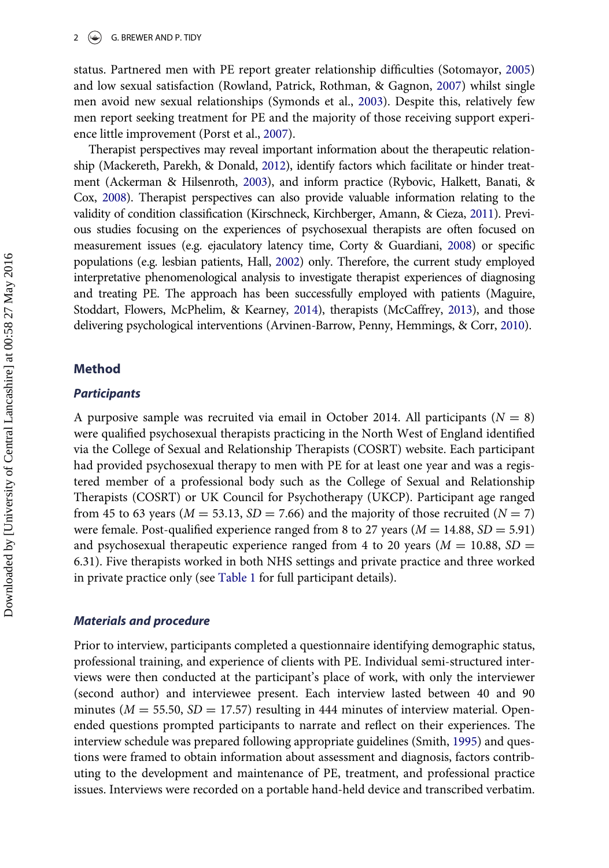#### 2  $\left(\frac{1}{2}\right)$  G. BREWER AND P. TIDY

<span id="page-2-10"></span><span id="page-2-7"></span>status. Partnered men with PE report greater relationship difficulties (Sotomayor, [2005\)](#page-14-2) and low sexual satisfaction (Rowland, Patrick, Rothman, & Gagnon, [2007\)](#page-14-3) whilst single men avoid new sexual relationships (Symonds et al., [2003](#page-14-0)). Despite this, relatively few men report seeking treatment for PE and the majority of those receiving support experience little improvement (Porst et al., [2007](#page-13-0)).

<span id="page-2-8"></span><span id="page-2-5"></span><span id="page-2-4"></span><span id="page-2-3"></span><span id="page-2-2"></span><span id="page-2-0"></span>Therapist perspectives may reveal important information about the therapeutic relationship (Mackereth, Parekh, & Donald, [2012](#page-13-1)), identify factors which facilitate or hinder treatment (Ackerman & Hilsenroth, [2003\)](#page-12-2), and inform practice (Rybovic, Halkett, Banati, & Cox, [2008](#page-14-4)). Therapist perspectives can also provide valuable information relating to the validity of condition classification (Kirschneck, Kirchberger, Amann, & Cieza, [2011](#page-13-2)). Previous studies focusing on the experiences of psychosexual therapists are often focused on measurement issues (e.g. ejaculatory latency time, Corty & Guardiani, [2008](#page-12-3)) or specific populations (e.g. lesbian patients, Hall, [2002\)](#page-13-3) only. Therefore, the current study employed interpretative phenomenological analysis to investigate therapist experiences of diagnosing and treating PE. The approach has been successfully employed with patients (Maguire, Stoddart, Flowers, McPhelim, & Kearney, [2014\)](#page-13-4), therapists (McCaffrey, [2013\)](#page-13-5), and those delivering psychological interventions (Arvinen-Barrow, Penny, Hemmings, & Corr, [2010](#page-12-4)).

### <span id="page-2-6"></span><span id="page-2-1"></span>Method

#### **Participants**

A purposive sample was recruited via email in October 2014. All participants ( $N = 8$ ) were qualified psychosexual therapists practicing in the North West of England identified via the College of Sexual and Relationship Therapists (COSRT) website. Each participant had provided psychosexual therapy to men with PE for at least one year and was a registered member of a professional body such as the College of Sexual and Relationship Therapists (COSRT) or UK Council for Psychotherapy (UKCP). Participant age ranged from 45 to 63 years ( $M = 53.13$ ,  $SD = 7.66$ ) and the majority of those recruited ( $N = 7$ ) were female. Post-qualified experience ranged from 8 to 27 years ( $M = 14.88$ ,  $SD = 5.91$ ) and psychosexual therapeutic experience ranged from 4 to 20 years ( $M = 10.88$ , SD = 6.31). Five therapists worked in both NHS settings and private practice and three worked in private practice only (see [Table 1](#page-3-0) for full participant details).

#### Materials and procedure

<span id="page-2-9"></span>Prior to interview, participants completed a questionnaire identifying demographic status, professional training, and experience of clients with PE. Individual semi-structured interviews were then conducted at the participant's place of work, with only the interviewer (second author) and interviewee present. Each interview lasted between 40 and 90 minutes ( $M = 55.50$ ,  $SD = 17.57$ ) resulting in 444 minutes of interview material. Openended questions prompted participants to narrate and reflect on their experiences. The interview schedule was prepared following appropriate guidelines (Smith, [1995\)](#page-14-5) and questions were framed to obtain information about assessment and diagnosis, factors contributing to the development and maintenance of PE, treatment, and professional practice issues. Interviews were recorded on a portable hand-held device and transcribed verbatim.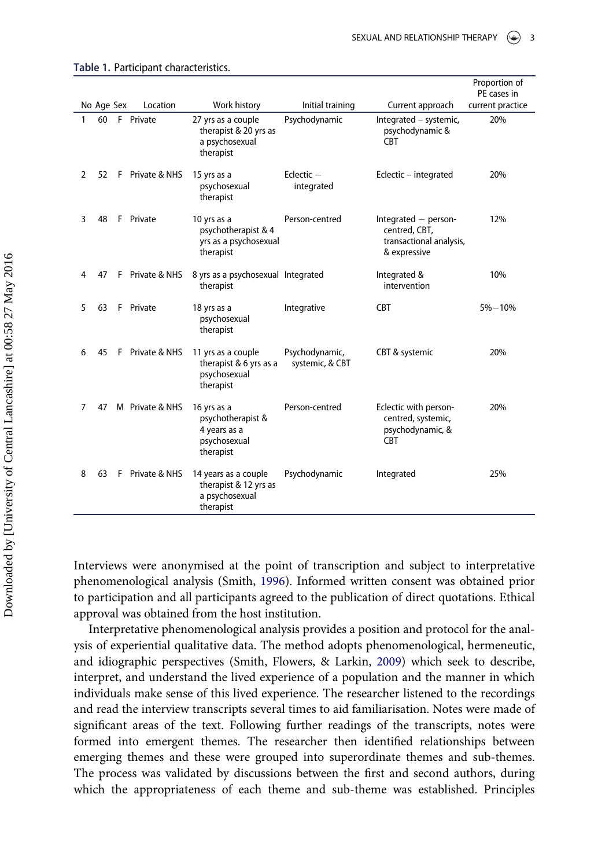$P_{\text{max}}$  and  $P_{\text{max}}$ 

|                |            |   |                 |                                                                               |                                   |                                                                                  | Proportion of<br>PE cases in |
|----------------|------------|---|-----------------|-------------------------------------------------------------------------------|-----------------------------------|----------------------------------------------------------------------------------|------------------------------|
|                | No Age Sex |   | Location        | Work history                                                                  | Initial training                  | Current approach                                                                 | current practice             |
| 1              | 60         |   | F Private       | 27 yrs as a couple<br>therapist & 20 yrs as<br>a psychosexual<br>therapist    | Psychodynamic                     | Integrated - systemic,<br>psychodynamic &<br><b>CBT</b>                          | 20%                          |
| $\overline{2}$ | 52         |   | F Private & NHS | 15 yrs as a<br>psychosexual<br>therapist                                      | Eclectic $-$<br>integrated        | Eclectic - integrated                                                            | 20%                          |
| 3              | 48         |   | F Private       | 10 yrs as a<br>psychotherapist & 4<br>yrs as a psychosexual<br>therapist      | Person-centred                    | Integrated - person-<br>centred, CBT,<br>transactional analysis,<br>& expressive | 12%                          |
| 4              | 47         |   | F Private & NHS | 8 yrs as a psychosexual Integrated<br>therapist                               |                                   | Integrated &<br>intervention                                                     | 10%                          |
| 5              | 63         |   | F Private       | 18 yrs as a<br>psychosexual<br>therapist                                      | Integrative                       | <b>CBT</b>                                                                       | $5% - 10%$                   |
| 6              | 45         | F | Private & NHS   | 11 yrs as a couple<br>therapist & 6 yrs as a<br>psychosexual<br>therapist     | Psychodynamic,<br>systemic, & CBT | CBT & systemic                                                                   | 20%                          |
| 7              | 47         |   | M Private & NHS | 16 yrs as a<br>psychotherapist &<br>4 years as a<br>psychosexual<br>therapist | Person-centred                    | Eclectic with person-<br>centred, systemic,<br>psychodynamic, &<br><b>CBT</b>    | 20%                          |
| 8              | 63         |   | F Private & NHS | 14 years as a couple<br>therapist & 12 yrs as<br>a psychosexual<br>therapist  | Psychodynamic                     | Integrated                                                                       | 25%                          |

#### <span id="page-3-0"></span>Table 1. Participant characteristics.

<span id="page-3-1"></span>Interviews were anonymised at the point of transcription and subject to interpretative phenomenological analysis (Smith, [1996\)](#page-14-6). Informed written consent was obtained prior to participation and all participants agreed to the publication of direct quotations. Ethical approval was obtained from the host institution.

<span id="page-3-2"></span>Interpretative phenomenological analysis provides a position and protocol for the analysis of experiential qualitative data. The method adopts phenomenological, hermeneutic, and idiographic perspectives (Smith, Flowers, & Larkin, [2009](#page-14-7)) which seek to describe, interpret, and understand the lived experience of a population and the manner in which individuals make sense of this lived experience. The researcher listened to the recordings and read the interview transcripts several times to aid familiarisation. Notes were made of significant areas of the text. Following further readings of the transcripts, notes were formed into emergent themes. The researcher then identified relationships between emerging themes and these were grouped into superordinate themes and sub-themes. The process was validated by discussions between the first and second authors, during which the appropriateness of each theme and sub-theme was established. Principles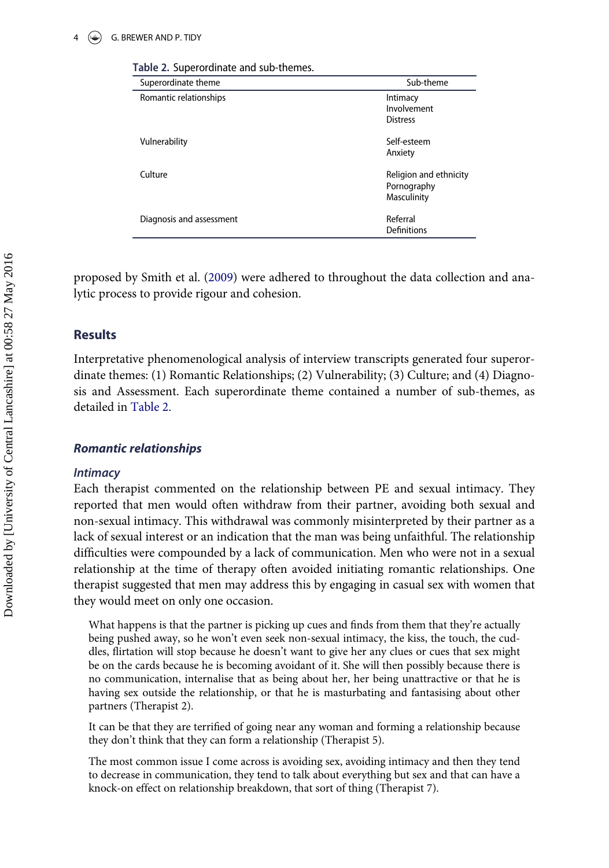| as $\epsilon$ = $\epsilon$ , supervisional subset of $\epsilon$ , $\epsilon$ , $\epsilon$ , $\epsilon$ , $\epsilon$ , $\epsilon$ , $\epsilon$ , $\epsilon$ , $\epsilon$ , $\epsilon$ , $\epsilon$ , $\epsilon$ , $\epsilon$ , $\epsilon$ , $\epsilon$ , $\epsilon$ , $\epsilon$ , $\epsilon$ , $\epsilon$ , $\epsilon$ , $\epsilon$ , $\epsilon$ , $\epsilon$ , $\epsilon$ , $\epsilon$ , $\epsilon$ |                                                      |
|------------------------------------------------------------------------------------------------------------------------------------------------------------------------------------------------------------------------------------------------------------------------------------------------------------------------------------------------------------------------------------------------------|------------------------------------------------------|
| Superordinate theme                                                                                                                                                                                                                                                                                                                                                                                  | Sub-theme                                            |
| Romantic relationships                                                                                                                                                                                                                                                                                                                                                                               | Intimacy<br>Involvement<br><b>Distress</b>           |
| Vulnerability                                                                                                                                                                                                                                                                                                                                                                                        | Self-esteem<br>Anxiety                               |
| Culture                                                                                                                                                                                                                                                                                                                                                                                              | Religion and ethnicity<br>Pornography<br>Masculinity |
| Diagnosis and assessment                                                                                                                                                                                                                                                                                                                                                                             | Referral<br>Definitions                              |
|                                                                                                                                                                                                                                                                                                                                                                                                      |                                                      |

<span id="page-4-0"></span>Table 2. Superordinate and sub-themes.

proposed by Smith et al. ([2009\)](#page-14-7) were adhered to throughout the data collection and analytic process to provide rigour and cohesion.

# **Results**

Interpretative phenomenological analysis of interview transcripts generated four superordinate themes: (1) Romantic Relationships; (2) Vulnerability; (3) Culture; and (4) Diagnosis and Assessment. Each superordinate theme contained a number of sub-themes, as detailed in [Table 2.](#page-4-0)

# Romantic relationships

#### **Intimacy**

Each therapist commented on the relationship between PE and sexual intimacy. They reported that men would often withdraw from their partner, avoiding both sexual and non-sexual intimacy. This withdrawal was commonly misinterpreted by their partner as a lack of sexual interest or an indication that the man was being unfaithful. The relationship difficulties were compounded by a lack of communication. Men who were not in a sexual relationship at the time of therapy often avoided initiating romantic relationships. One therapist suggested that men may address this by engaging in casual sex with women that they would meet on only one occasion.

What happens is that the partner is picking up cues and finds from them that they're actually being pushed away, so he won't even seek non-sexual intimacy, the kiss, the touch, the cuddles, flirtation will stop because he doesn't want to give her any clues or cues that sex might be on the cards because he is becoming avoidant of it. She will then possibly because there is no communication, internalise that as being about her, her being unattractive or that he is having sex outside the relationship, or that he is masturbating and fantasising about other partners (Therapist 2).

It can be that they are terrified of going near any woman and forming a relationship because they don't think that they can form a relationship (Therapist 5).

The most common issue I come across is avoiding sex, avoiding intimacy and then they tend to decrease in communication, they tend to talk about everything but sex and that can have a knock-on effect on relationship breakdown, that sort of thing (Therapist 7).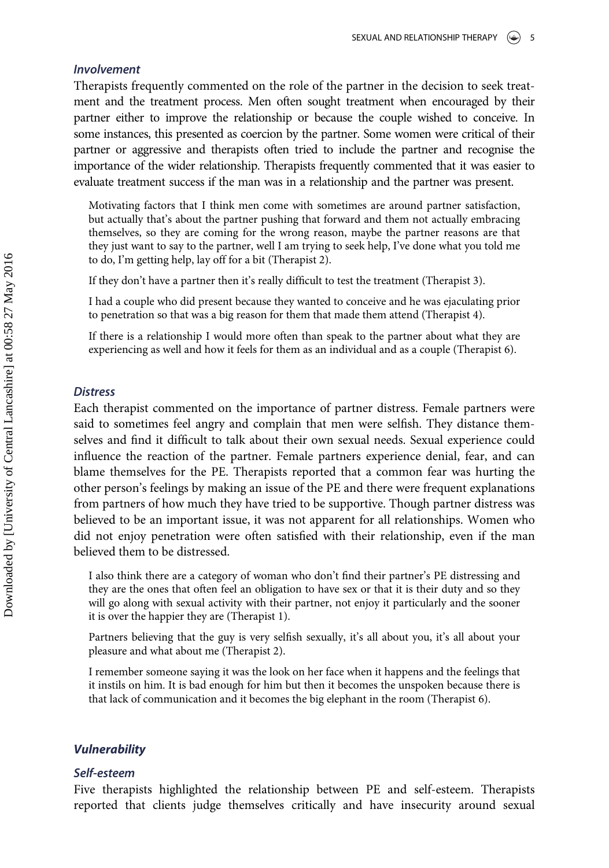#### Involvement

Therapists frequently commented on the role of the partner in the decision to seek treatment and the treatment process. Men often sought treatment when encouraged by their partner either to improve the relationship or because the couple wished to conceive. In some instances, this presented as coercion by the partner. Some women were critical of their partner or aggressive and therapists often tried to include the partner and recognise the importance of the wider relationship. Therapists frequently commented that it was easier to evaluate treatment success if the man was in a relationship and the partner was present.

Motivating factors that I think men come with sometimes are around partner satisfaction, but actually that's about the partner pushing that forward and them not actually embracing themselves, so they are coming for the wrong reason, maybe the partner reasons are that they just want to say to the partner, well I am trying to seek help, I've done what you told me to do, I'm getting help, lay off for a bit (Therapist 2).

If they don't have a partner then it's really difficult to test the treatment (Therapist 3).

I had a couple who did present because they wanted to conceive and he was ejaculating prior to penetration so that was a big reason for them that made them attend (Therapist 4).

If there is a relationship I would more often than speak to the partner about what they are experiencing as well and how it feels for them as an individual and as a couple (Therapist 6).

#### **Distress**

Each therapist commented on the importance of partner distress. Female partners were said to sometimes feel angry and complain that men were selfish. They distance themselves and find it difficult to talk about their own sexual needs. Sexual experience could influence the reaction of the partner. Female partners experience denial, fear, and can blame themselves for the PE. Therapists reported that a common fear was hurting the other person's feelings by making an issue of the PE and there were frequent explanations from partners of how much they have tried to be supportive. Though partner distress was believed to be an important issue, it was not apparent for all relationships. Women who did not enjoy penetration were often satisfied with their relationship, even if the man believed them to be distressed.

I also think there are a category of woman who don't find their partner's PE distressing and they are the ones that often feel an obligation to have sex or that it is their duty and so they will go along with sexual activity with their partner, not enjoy it particularly and the sooner it is over the happier they are (Therapist 1).

Partners believing that the guy is very selfish sexually, it's all about you, it's all about your pleasure and what about me (Therapist 2).

I remember someone saying it was the look on her face when it happens and the feelings that it instils on him. It is bad enough for him but then it becomes the unspoken because there is that lack of communication and it becomes the big elephant in the room (Therapist 6).

#### Vulnerability

### Self-esteem

Five therapists highlighted the relationship between PE and self-esteem. Therapists reported that clients judge themselves critically and have insecurity around sexual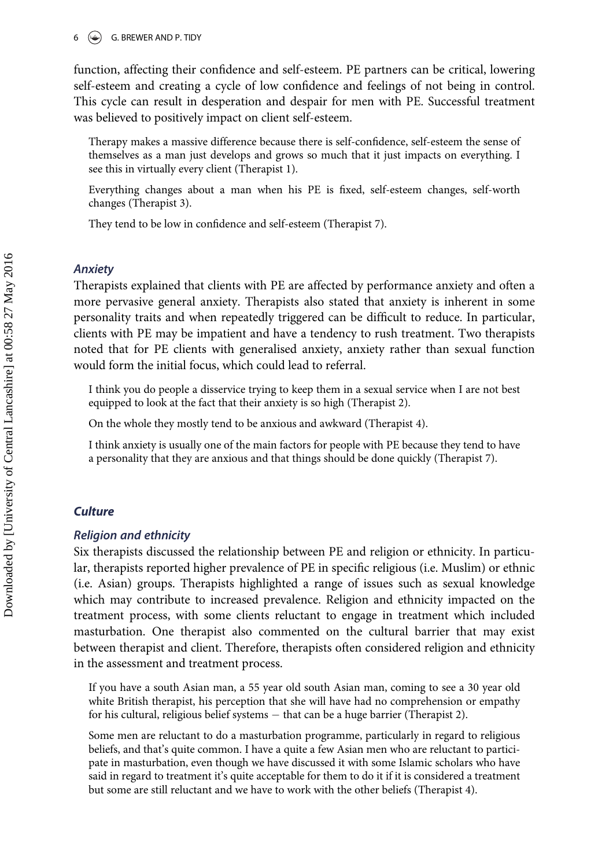#### 6  $\left(\frac{1}{2}\right)$  G. BREWER AND P. TIDY

function, affecting their confidence and self-esteem. PE partners can be critical, lowering self-esteem and creating a cycle of low confidence and feelings of not being in control. This cycle can result in desperation and despair for men with PE. Successful treatment was believed to positively impact on client self-esteem.

Therapy makes a massive difference because there is self-confidence, self-esteem the sense of themselves as a man just develops and grows so much that it just impacts on everything. I see this in virtually every client (Therapist 1).

Everything changes about a man when his PE is fixed, self-esteem changes, self-worth changes (Therapist 3).

They tend to be low in confidence and self-esteem (Therapist 7).

# Anxiety

Therapists explained that clients with PE are affected by performance anxiety and often a more pervasive general anxiety. Therapists also stated that anxiety is inherent in some personality traits and when repeatedly triggered can be difficult to reduce. In particular, clients with PE may be impatient and have a tendency to rush treatment. Two therapists noted that for PE clients with generalised anxiety, anxiety rather than sexual function would form the initial focus, which could lead to referral.

I think you do people a disservice trying to keep them in a sexual service when I are not best equipped to look at the fact that their anxiety is so high (Therapist 2).

On the whole they mostly tend to be anxious and awkward (Therapist 4).

I think anxiety is usually one of the main factors for people with PE because they tend to have a personality that they are anxious and that things should be done quickly (Therapist 7).

#### **Culture**

#### Religion and ethnicity

Six therapists discussed the relationship between PE and religion or ethnicity. In particular, therapists reported higher prevalence of PE in specific religious (i.e. Muslim) or ethnic (i.e. Asian) groups. Therapists highlighted a range of issues such as sexual knowledge which may contribute to increased prevalence. Religion and ethnicity impacted on the treatment process, with some clients reluctant to engage in treatment which included masturbation. One therapist also commented on the cultural barrier that may exist between therapist and client. Therefore, therapists often considered religion and ethnicity in the assessment and treatment process.

If you have a south Asian man, a 55 year old south Asian man, coming to see a 30 year old white British therapist, his perception that she will have had no comprehension or empathy for his cultural, religious belief systems  $-$  that can be a huge barrier (Therapist 2).

Some men are reluctant to do a masturbation programme, particularly in regard to religious beliefs, and that's quite common. I have a quite a few Asian men who are reluctant to participate in masturbation, even though we have discussed it with some Islamic scholars who have said in regard to treatment it's quite acceptable for them to do it if it is considered a treatment but some are still reluctant and we have to work with the other beliefs (Therapist 4).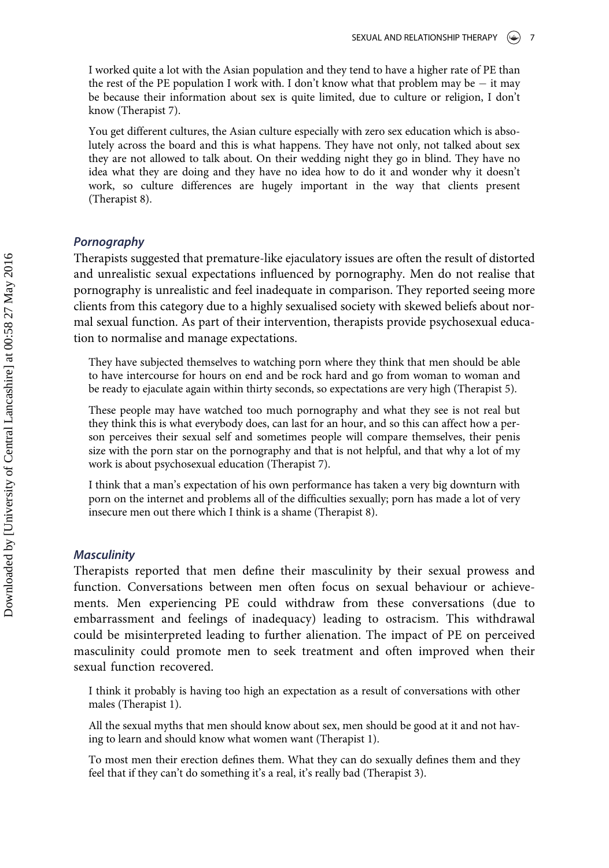I worked quite a lot with the Asian population and they tend to have a higher rate of PE than the rest of the PE population I work with. I don't know what that problem may be  $-$  it may be because their information about sex is quite limited, due to culture or religion, I don't know (Therapist 7).

You get different cultures, the Asian culture especially with zero sex education which is absolutely across the board and this is what happens. They have not only, not talked about sex they are not allowed to talk about. On their wedding night they go in blind. They have no idea what they are doing and they have no idea how to do it and wonder why it doesn't work, so culture differences are hugely important in the way that clients present (Therapist 8).

#### Pornography

Therapists suggested that premature-like ejaculatory issues are often the result of distorted and unrealistic sexual expectations influenced by pornography. Men do not realise that pornography is unrealistic and feel inadequate in comparison. They reported seeing more clients from this category due to a highly sexualised society with skewed beliefs about normal sexual function. As part of their intervention, therapists provide psychosexual education to normalise and manage expectations.

They have subjected themselves to watching porn where they think that men should be able to have intercourse for hours on end and be rock hard and go from woman to woman and be ready to ejaculate again within thirty seconds, so expectations are very high (Therapist 5).

These people may have watched too much pornography and what they see is not real but they think this is what everybody does, can last for an hour, and so this can affect how a person perceives their sexual self and sometimes people will compare themselves, their penis size with the porn star on the pornography and that is not helpful, and that why a lot of my work is about psychosexual education (Therapist 7).

I think that a man's expectation of his own performance has taken a very big downturn with porn on the internet and problems all of the difficulties sexually; porn has made a lot of very insecure men out there which I think is a shame (Therapist 8).

#### **Masculinity**

Therapists reported that men define their masculinity by their sexual prowess and function. Conversations between men often focus on sexual behaviour or achievements. Men experiencing PE could withdraw from these conversations (due to embarrassment and feelings of inadequacy) leading to ostracism. This withdrawal could be misinterpreted leading to further alienation. The impact of PE on perceived masculinity could promote men to seek treatment and often improved when their sexual function recovered.

I think it probably is having too high an expectation as a result of conversations with other males (Therapist 1).

All the sexual myths that men should know about sex, men should be good at it and not having to learn and should know what women want (Therapist 1).

To most men their erection defines them. What they can do sexually defines them and they feel that if they can't do something it's a real, it's really bad (Therapist 3).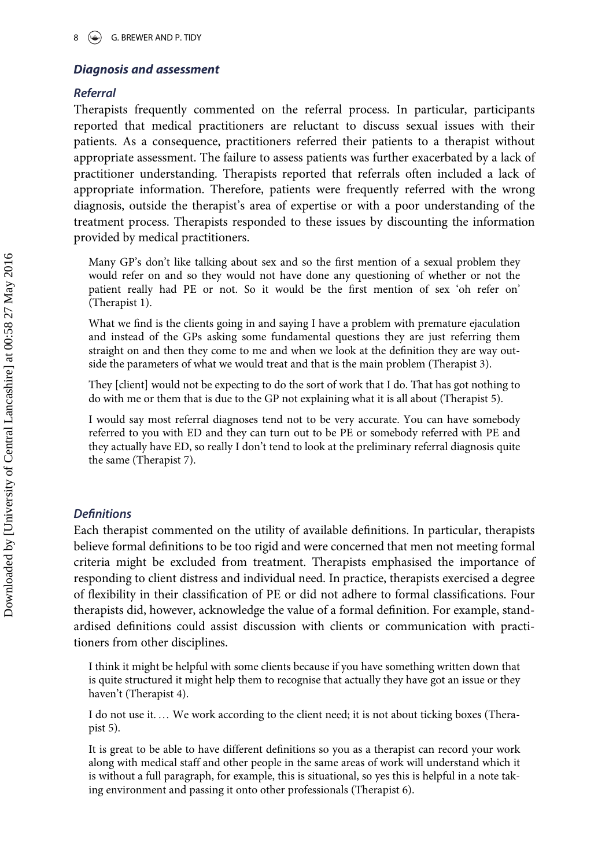#### Diagnosis and assessment

#### Referral

Therapists frequently commented on the referral process. In particular, participants reported that medical practitioners are reluctant to discuss sexual issues with their patients. As a consequence, practitioners referred their patients to a therapist without appropriate assessment. The failure to assess patients was further exacerbated by a lack of practitioner understanding. Therapists reported that referrals often included a lack of appropriate information. Therefore, patients were frequently referred with the wrong diagnosis, outside the therapist's area of expertise or with a poor understanding of the treatment process. Therapists responded to these issues by discounting the information provided by medical practitioners.

Many GP's don't like talking about sex and so the first mention of a sexual problem they would refer on and so they would not have done any questioning of whether or not the patient really had PE or not. So it would be the first mention of sex 'oh refer on' (Therapist 1).

What we find is the clients going in and saying I have a problem with premature ejaculation and instead of the GPs asking some fundamental questions they are just referring them straight on and then they come to me and when we look at the definition they are way outside the parameters of what we would treat and that is the main problem (Therapist 3).

They [client] would not be expecting to do the sort of work that I do. That has got nothing to do with me or them that is due to the GP not explaining what it is all about (Therapist 5).

I would say most referral diagnoses tend not to be very accurate. You can have somebody referred to you with ED and they can turn out to be PE or somebody referred with PE and they actually have ED, so really I don't tend to look at the preliminary referral diagnosis quite the same (Therapist 7).

#### **Definitions**

Each therapist commented on the utility of available definitions. In particular, therapists believe formal definitions to be too rigid and were concerned that men not meeting formal criteria might be excluded from treatment. Therapists emphasised the importance of responding to client distress and individual need. In practice, therapists exercised a degree of flexibility in their classification of PE or did not adhere to formal classifications. Four therapists did, however, acknowledge the value of a formal definition. For example, standardised definitions could assist discussion with clients or communication with practitioners from other disciplines.

I think it might be helpful with some clients because if you have something written down that is quite structured it might help them to recognise that actually they have got an issue or they haven't (Therapist 4).

I do not use it.… We work according to the client need; it is not about ticking boxes (Therapist 5).

It is great to be able to have different definitions so you as a therapist can record your work along with medical staff and other people in the same areas of work will understand which it is without a full paragraph, for example, this is situational, so yes this is helpful in a note taking environment and passing it onto other professionals (Therapist 6).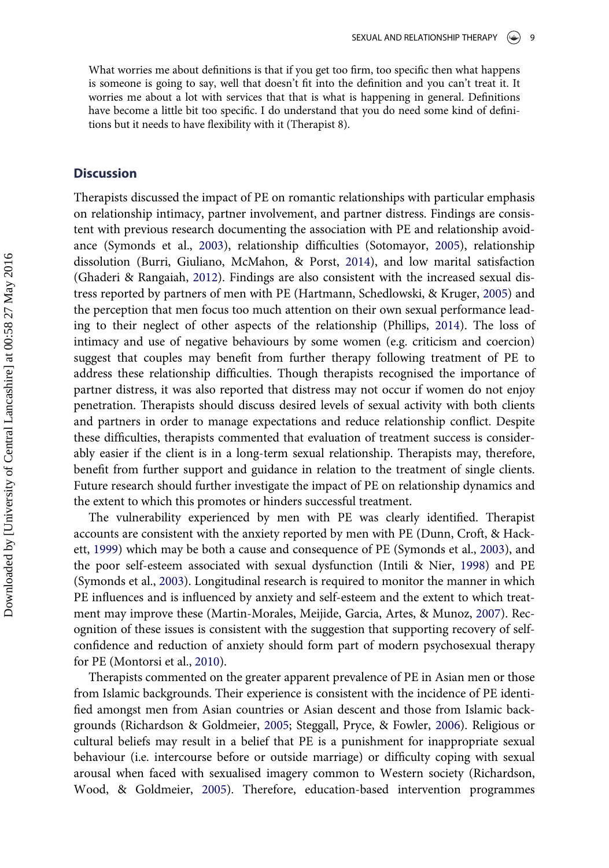What worries me about definitions is that if you get too firm, too specific then what happens is someone is going to say, well that doesn't fit into the definition and you can't treat it. It worries me about a lot with services that that is what is happening in general. Definitions have become a little bit too specific. I do understand that you do need some kind of definitions but it needs to have flexibility with it (Therapist 8).

#### **Discussion**

<span id="page-9-7"></span><span id="page-9-3"></span><span id="page-9-2"></span><span id="page-9-0"></span>Therapists discussed the impact of PE on romantic relationships with particular emphasis on relationship intimacy, partner involvement, and partner distress. Findings are consistent with previous research documenting the association with PE and relationship avoidance (Symonds et al., [2003](#page-14-0)), relationship difficulties (Sotomayor, [2005\)](#page-14-2), relationship dissolution (Burri, Giuliano, McMahon, & Porst, [2014](#page-12-5)), and low marital satisfaction (Ghaderi & Rangaiah, [2012](#page-12-6)). Findings are also consistent with the increased sexual distress reported by partners of men with PE (Hartmann, Schedlowski, & Kruger, [2005](#page-13-6)) and the perception that men focus too much attention on their own sexual performance leading to their neglect of other aspects of the relationship (Phillips, [2014\)](#page-13-7). The loss of intimacy and use of negative behaviours by some women (e.g. criticism and coercion) suggest that couples may benefit from further therapy following treatment of PE to address these relationship difficulties. Though therapists recognised the importance of partner distress, it was also reported that distress may not occur if women do not enjoy penetration. Therapists should discuss desired levels of sexual activity with both clients and partners in order to manage expectations and reduce relationship conflict. Despite these difficulties, therapists commented that evaluation of treatment success is considerably easier if the client is in a long-term sexual relationship. Therapists may, therefore, benefit from further support and guidance in relation to the treatment of single clients. Future research should further investigate the impact of PE on relationship dynamics and the extent to which this promotes or hinders successful treatment.

<span id="page-9-4"></span><span id="page-9-1"></span>The vulnerability experienced by men with PE was clearly identified. Therapist accounts are consistent with the anxiety reported by men with PE (Dunn, Croft, & Hackett, [1999\)](#page-12-7) which may be both a cause and consequence of PE (Symonds et al., [2003\)](#page-14-0), and the poor self-esteem associated with sexual dysfunction (Intili & Nier, [1998](#page-13-8)) and PE (Symonds et al., [2003\)](#page-14-0). Longitudinal research is required to monitor the manner in which PE influences and is influenced by anxiety and self-esteem and the extent to which treatment may improve these (Martin-Morales, Meijide, Garcia, Artes, & Munoz, [2007\)](#page-13-9). Recognition of these issues is consistent with the suggestion that supporting recovery of selfconfidence and reduction of anxiety should form part of modern psychosexual therapy for PE (Montorsi et al., [2010\)](#page-13-10).

<span id="page-9-9"></span><span id="page-9-8"></span><span id="page-9-6"></span><span id="page-9-5"></span>Therapists commented on the greater apparent prevalence of PE in Asian men or those from Islamic backgrounds. Their experience is consistent with the incidence of PE identified amongst men from Asian countries or Asian descent and those from Islamic backgrounds (Richardson & Goldmeier, [2005](#page-14-8); Steggall, Pryce, & Fowler, [2006\)](#page-14-9). Religious or cultural beliefs may result in a belief that PE is a punishment for inappropriate sexual behaviour (i.e. intercourse before or outside marriage) or difficulty coping with sexual arousal when faced with sexualised imagery common to Western society (Richardson, Wood, & Goldmeier, [2005\)](#page-14-10). Therefore, education-based intervention programmes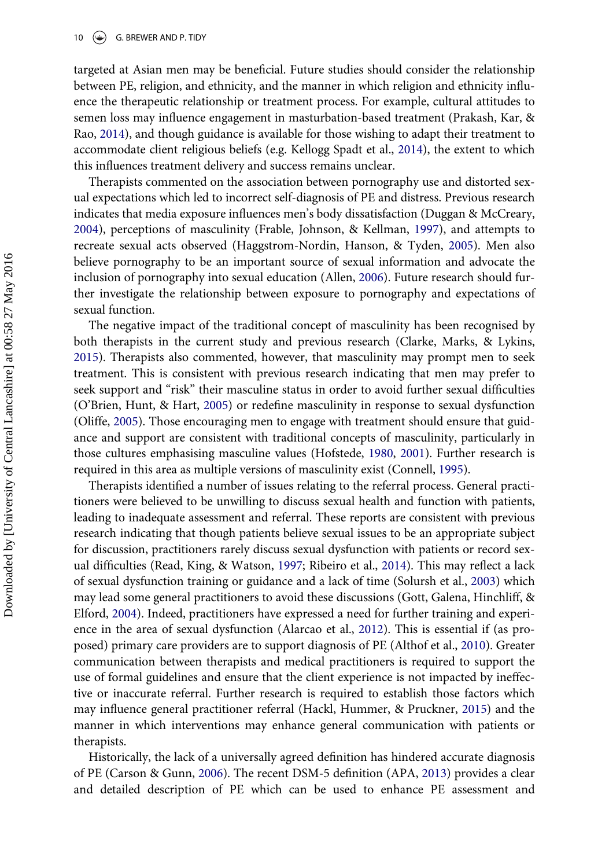targeted at Asian men may be beneficial. Future studies should consider the relationship between PE, religion, and ethnicity, and the manner in which religion and ethnicity influence the therapeutic relationship or treatment process. For example, cultural attitudes to semen loss may influence engagement in masturbation-based treatment (Prakash, Kar, & Rao, [2014\)](#page-13-11), and though guidance is available for those wishing to adapt their treatment to accommodate client religious beliefs (e.g. Kellogg Spadt et al., [2014\)](#page-13-12), the extent to which this influences treatment delivery and success remains unclear.

<span id="page-10-15"></span><span id="page-10-12"></span><span id="page-10-10"></span><span id="page-10-7"></span><span id="page-10-6"></span>Therapists commented on the association between pornography use and distorted sexual expectations which led to incorrect self-diagnosis of PE and distress. Previous research indicates that media exposure influences men's body dissatisfaction (Duggan & McCreary, [2004\)](#page-12-8), perceptions of masculinity (Frable, Johnson, & Kellman, [1997\)](#page-12-9), and attempts to recreate sexual acts observed (Haggstrom-Nordin, Hanson, & Tyden, [2005\)](#page-12-10). Men also believe pornography to be an important source of sexual information and advocate the inclusion of pornography into sexual education (Allen, [2006\)](#page-12-11). Future research should further investigate the relationship between exposure to pornography and expectations of sexual function.

<span id="page-10-13"></span><span id="page-10-4"></span><span id="page-10-1"></span>The negative impact of the traditional concept of masculinity has been recognised by both therapists in the current study and previous research (Clarke, Marks, & Lykins, [2015\)](#page-12-12). Therapists also commented, however, that masculinity may prompt men to seek treatment. This is consistent with previous research indicating that men may prefer to seek support and "risk" their masculine status in order to avoid further sexual difficulties (O'Brien, Hunt, & Hart, [2005\)](#page-13-13) or redefine masculinity in response to sexual dysfunction (Oliffe, [2005\)](#page-13-14). Those encouraging men to engage with treatment should ensure that guidance and support are consistent with traditional concepts of masculinity, particularly in those cultures emphasising masculine values (Hofstede, [1980,](#page-13-15) [2001](#page-13-16)). Further research is required in this area as multiple versions of masculinity exist (Connell, [1995](#page-12-13)).

<span id="page-10-17"></span><span id="page-10-16"></span><span id="page-10-14"></span><span id="page-10-11"></span><span id="page-10-8"></span><span id="page-10-5"></span>Therapists identified a number of issues relating to the referral process. General practitioners were believed to be unwilling to discuss sexual health and function with patients, leading to inadequate assessment and referral. These reports are consistent with previous research indicating that though patients believe sexual issues to be an appropriate subject for discussion, practitioners rarely discuss sexual dysfunction with patients or record sexual difficulties (Read, King, & Watson, [1997](#page-13-17); Ribeiro et al., [2014](#page-13-18)). This may reflect a lack of sexual dysfunction training or guidance and a lack of time (Solursh et al., [2003\)](#page-14-11) which may lead some general practitioners to avoid these discussions (Gott, Galena, Hinchliff, & Elford, [2004\)](#page-12-14). Indeed, practitioners have expressed a need for further training and experience in the area of sexual dysfunction (Alarcao et al., [2012\)](#page-12-15). This is essential if (as proposed) primary care providers are to support diagnosis of PE (Althof et al., [2010](#page-12-16)). Greater communication between therapists and medical practitioners is required to support the use of formal guidelines and ensure that the client experience is not impacted by ineffective or inaccurate referral. Further research is required to establish those factors which may influence general practitioner referral (Hackl, Hummer, & Pruckner, [2015](#page-12-17)) and the manner in which interventions may enhance general communication with patients or therapists.

<span id="page-10-9"></span><span id="page-10-3"></span><span id="page-10-2"></span><span id="page-10-0"></span>Historically, the lack of a universally agreed definition has hindered accurate diagnosis of PE (Carson & Gunn, [2006\)](#page-12-18). The recent DSM-5 definition (APA, [2013\)](#page-12-0) provides a clear and detailed description of PE which can be used to enhance PE assessment and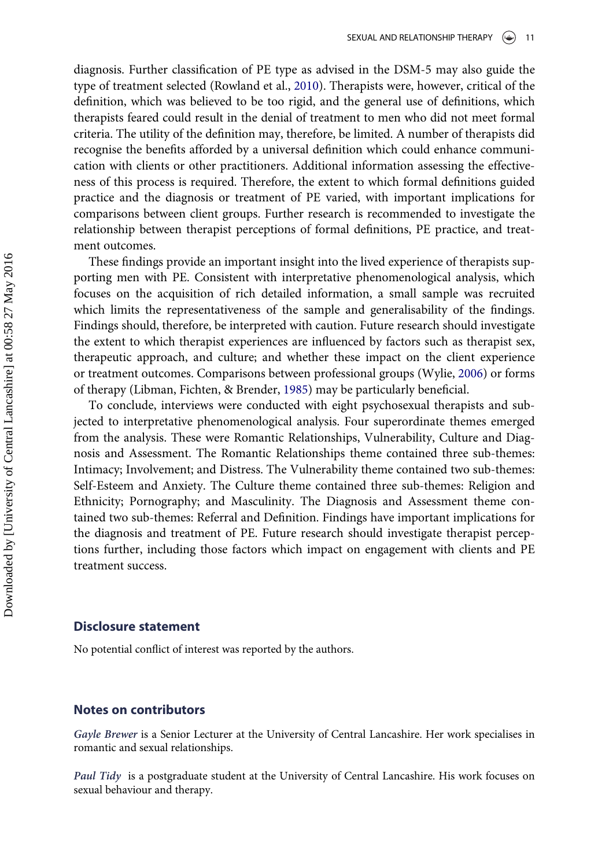<span id="page-11-1"></span>diagnosis. Further classification of PE type as advised in the DSM-5 may also guide the type of treatment selected (Rowland et al., [2010](#page-14-12)). Therapists were, however, critical of the definition, which was believed to be too rigid, and the general use of definitions, which therapists feared could result in the denial of treatment to men who did not meet formal criteria. The utility of the definition may, therefore, be limited. A number of therapists did recognise the benefits afforded by a universal definition which could enhance communication with clients or other practitioners. Additional information assessing the effectiveness of this process is required. Therefore, the extent to which formal definitions guided practice and the diagnosis or treatment of PE varied, with important implications for comparisons between client groups. Further research is recommended to investigate the relationship between therapist perceptions of formal definitions, PE practice, and treatment outcomes.

These findings provide an important insight into the lived experience of therapists supporting men with PE. Consistent with interpretative phenomenological analysis, which focuses on the acquisition of rich detailed information, a small sample was recruited which limits the representativeness of the sample and generalisability of the findings. Findings should, therefore, be interpreted with caution. Future research should investigate the extent to which therapist experiences are influenced by factors such as therapist sex, therapeutic approach, and culture; and whether these impact on the client experience or treatment outcomes. Comparisons between professional groups (Wylie, [2006](#page-14-13)) or forms of therapy (Libman, Fichten, & Brender, [1985\)](#page-13-19) may be particularly beneficial.

<span id="page-11-2"></span><span id="page-11-0"></span>To conclude, interviews were conducted with eight psychosexual therapists and subjected to interpretative phenomenological analysis. Four superordinate themes emerged from the analysis. These were Romantic Relationships, Vulnerability, Culture and Diagnosis and Assessment. The Romantic Relationships theme contained three sub-themes: Intimacy; Involvement; and Distress. The Vulnerability theme contained two sub-themes: Self-Esteem and Anxiety. The Culture theme contained three sub-themes: Religion and Ethnicity; Pornography; and Masculinity. The Diagnosis and Assessment theme contained two sub-themes: Referral and Definition. Findings have important implications for the diagnosis and treatment of PE. Future research should investigate therapist perceptions further, including those factors which impact on engagement with clients and PE treatment success.

#### Disclosure statement

No potential conflict of interest was reported by the authors.

#### Notes on contributors

Gayle Brewer is a Senior Lecturer at the University of Central Lancashire. Her work specialises in romantic and sexual relationships.

Paul Tidy is a postgraduate student at the University of Central Lancashire. His work focuses on sexual behaviour and therapy.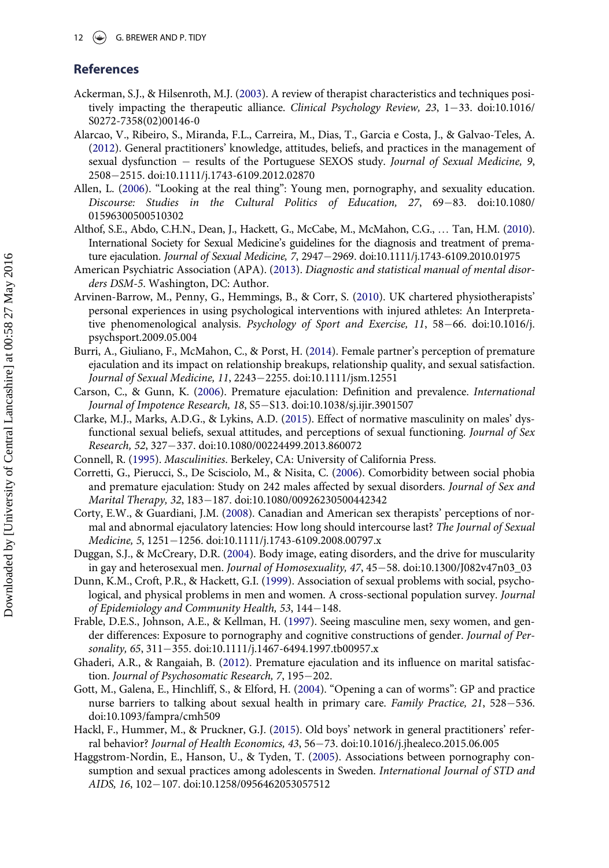# References

- <span id="page-12-2"></span>Ackerman, S.J., & Hilsenroth, M.J. ([2003](#page-2-0)). A review of therapist characteristics and techniques positively impacting the therapeutic alliance. Clinical Psychology Review,  $23$ ,  $1-33$ . doi[:10.1016/](http://dx.doi.org/10.1016/S0272-7358(02)00146-0) [S0272-7358\(02\)00146-0](http://dx.doi.org/10.1016/S0272-7358(02)00146-0)
- <span id="page-12-15"></span>Alarcao, V., Ribeiro, S., Miranda, F.L., Carreira, M., Dias, T., Garcia e Costa, J., & Galvao-Teles, A. ([2012](#page-10-0)). General practitioners' knowledge, attitudes, beliefs, and practices in the management of sexual dysfunction - results of the Portuguese SEXOS study. Journal of Sexual Medicine, 9, 25082515. doi:[10.1111/j.1743-6109.2012.02870](http://dx.doi.org/10.1111/j.1743-6109.2012.02870)
- <span id="page-12-11"></span>Allen, L. [\(2006](#page-10-1)). "Looking at the real thing": Young men, pornography, and sexuality education. Discourse: Studies in the Cultural Politics of Education, 27, 69–83. doi[:10.1080/](http://dx.doi.org/10.1080/01596300500510302) [01596300500510302](http://dx.doi.org/10.1080/01596300500510302)
- <span id="page-12-16"></span>Althof, S.E., Abdo, C.H.N., Dean, J., Hackett, G., McCabe, M., McMahon, C.G., … Tan, H.M. ([2010](#page-10-2)). International Society for Sexual Medicine's guidelines for the diagnosis and treatment of premature ejaculation. *Journal of Sexual Medicine*, 7, 2947–2969. doi:[10.1111/j.1743-6109.2010.01975](http://dx.doi.org/10.1111/j.1743-6109.2010.01975)
- <span id="page-12-0"></span>American Psychiatric Association (APA). ([2013\)](#page-1-0). Diagnostic and statistical manual of mental disorders DSM-5. Washington, DC: Author.
- <span id="page-12-4"></span>Arvinen-Barrow, M., Penny, G., Hemmings, B., & Corr, S. ([2010](#page-2-1)). UK chartered physiotherapists' personal experiences in using psychological interventions with injured athletes: An Interpreta-tive phenomenological analysis. Psychology of Sport and Exercise, 11, 58–66. doi:[10.1016/j.](http://dx.doi.org/10.1016/j.psychsport.2009.05.004) [psychsport.2009.05.004](http://dx.doi.org/10.1016/j.psychsport.2009.05.004)
- <span id="page-12-5"></span>Burri, A., Giuliano, F., McMahon, C., & Porst, H. ([2014\)](#page-9-0). Female partner's perception of premature ejaculation and its impact on relationship breakups, relationship quality, and sexual satisfaction. Journal of Sexual Medicine, 11, 2243-2255. doi:[10.1111/jsm.12551](http://dx.doi.org/10.1111/jsm.12551)
- <span id="page-12-18"></span>Carson, C., & Gunn, K. [\(2006](#page-10-3)). Premature ejaculation: Definition and prevalence. International Journal of Impotence Research, 18, S5-S13. doi[:10.1038/sj.ijir.3901507](http://dx.doi.org/10.1038/sj.ijir.3901507)
- <span id="page-12-12"></span>Clarke, M.J., Marks, A.D.G., & Lykins, A.D. [\(2015](#page-10-4)). Effect of normative masculinity on males' dysfunctional sexual beliefs, sexual attitudes, and perceptions of sexual functioning. Journal of Sex Research, 52, 327-337. doi[:10.1080/00224499.2013.860072](http://dx.doi.org/10.1080/00224499.2013.860072)
- <span id="page-12-13"></span><span id="page-12-1"></span>Connell, R. [\(1995\)](#page-10-5). Masculinities. Berkeley, CA: University of California Press.
- Corretti, G., Pierucci, S., De Scisciolo, M., & Nisita, C. [\(2006](#page-1-1)). Comorbidity between social phobia and premature ejaculation: Study on 242 males affected by sexual disorders. Journal of Sex and Marital Therapy, 32, 183-187. doi[:10.1080/00926230500442342](http://dx.doi.org/10.1080/00926230500442342)
- <span id="page-12-3"></span>Corty, E.W., & Guardiani, J.M. [\(2008](#page-2-2)). Canadian and American sex therapists' perceptions of normal and abnormal ejaculatory latencies: How long should intercourse last? The Journal of Sexual Medicine, 5, 1251-1256. doi[:10.1111/j.1743-6109.2008.00797.x](http://dx.doi.org/10.1111/j.1743-6109.2008.00797.x)
- <span id="page-12-8"></span>Duggan, S.J., & McCreary, D.R. ([2004](#page-10-6)). Body image, eating disorders, and the drive for muscularity in gay and heterosexual men. Journal of Homosexuality,  $47, 45-58$ . doi:[10.1300/J082v47n03\\_03](http://dx.doi.org/10.1300/J082v47n03_03)
- <span id="page-12-7"></span>Dunn, K.M., Croft, P.R., & Hackett, G.I. [\(1999](#page-9-1)). Association of sexual problems with social, psychological, and physical problems in men and women. A cross-sectional population survey. Journal of Epidemiology and Community Health, 53, 144-148.
- <span id="page-12-9"></span>Frable, D.E.S., Johnson, A.E., & Kellman, H. [\(1997](#page-10-7)). Seeing masculine men, sexy women, and gender differences: Exposure to pornography and cognitive constructions of gender. Journal of Per-sonality, 65, 311-355. doi[:10.1111/j.1467-6494.1997.tb00957.x](http://dx.doi.org/10.1111/j.1467-6494.1997.tb00957.x)
- <span id="page-12-6"></span>Ghaderi, A.R., & Rangaiah, B. ([2012\)](#page-9-2). Premature ejaculation and its influence on marital satisfaction. Journal of Psychosomatic Research, 7, 195-202.
- <span id="page-12-14"></span>Gott, M., Galena, E., Hinchliff, S., & Elford, H. [\(2004](#page-10-8)). "Opening a can of worms": GP and practice nurse barriers to talking about sexual health in primary care. Family Practice, 21, 528–536. doi:[10.1093/fampra/cmh509](http://dx.doi.org/10.1093/fampra/cmh509)
- <span id="page-12-17"></span>Hackl, F., Hummer, M., & Pruckner, G.J. [\(2015\)](#page-10-9). Old boys' network in general practitioners' refer-ral behavior? Journal of Health Economics, 43, 56-73. doi[:10.1016/j.jhealeco.2015.06.005](http://dx.doi.org/10.1016/j.jhealeco.2015.06.005)
- <span id="page-12-10"></span>Haggstrom-Nordin, E., Hanson, U., & Tyden, T. [\(2005](#page-10-10)). Associations between pornography consumption and sexual practices among adolescents in Sweden. International Journal of STD and AIDS, 16, 102-107. doi:[10.1258/0956462053057512](http://dx.doi.org/10.1258/0956462053057512)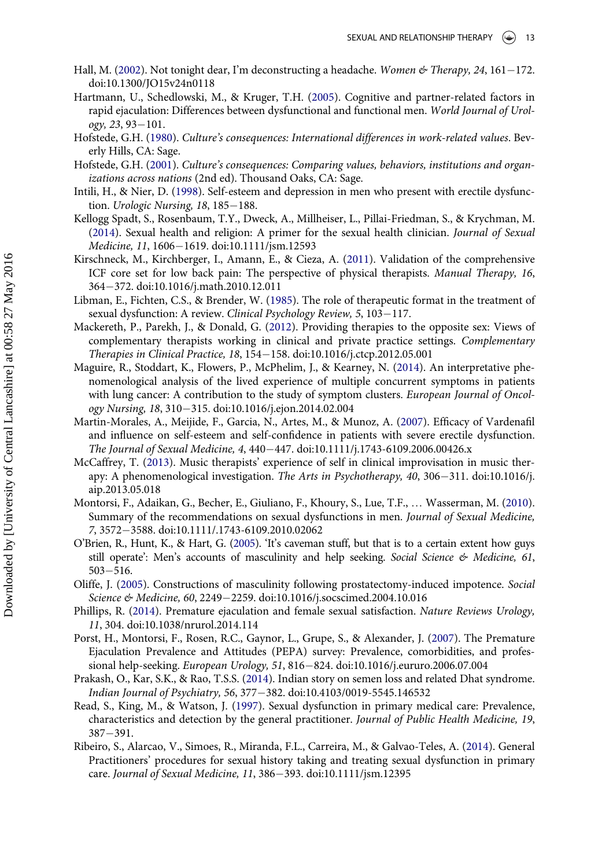- <span id="page-13-3"></span>Hall, M. ([2002](#page-2-3)). Not tonight dear, I'm deconstructing a headache. Women & Therapy, 24, 161-172. doi:[10.1300/JO15v24n0118](http://dx.doi.org/10.1300/JO15v24n0118)
- <span id="page-13-6"></span>Hartmann, U., Schedlowski, M., & Kruger, T.H. ([2005\)](#page-9-3). Cognitive and partner-related factors in rapid ejaculation: Differences between dysfunctional and functional men. World Journal of Urology, 23, 93-101.
- <span id="page-13-15"></span>Hofstede, G.H. ([1980\)](#page-10-11). Culture's consequences: International differences in work-related values. Beverly Hills, CA: Sage.
- <span id="page-13-16"></span>Hofstede, G.H. ([2001\)](#page-10-11). Culture's consequences: Comparing values, behaviors, institutions and organizations across nations (2nd ed). Thousand Oaks, CA: Sage.
- <span id="page-13-8"></span>Intili, H., & Nier, D. [\(1998](#page-9-4)). Self-esteem and depression in men who present with erectile dysfunction. Urologic Nursing,  $18, 185-188$ .
- <span id="page-13-12"></span>Kellogg Spadt, S., Rosenbaum, T.Y., Dweck, A., Millheiser, L., Pillai-Friedman, S., & Krychman, M. ([2014](#page-10-12)). Sexual health and religion: A primer for the sexual health clinician. Journal of Sexual Medicine, 11, 1606-1619. doi:[10.1111/jsm.12593](http://dx.doi.org/10.1111/jsm.12593)
- <span id="page-13-2"></span>Kirschneck, M., Kirchberger, I., Amann, E., & Cieza, A. [\(2011](#page-2-4)). Validation of the comprehensive ICF core set for low back pain: The perspective of physical therapists. Manual Therapy, 16, 364372. doi:[10.1016/j.math.2010.12.011](http://dx.doi.org/10.1016/j.math.2010.12.011)
- <span id="page-13-19"></span>Libman, E., Fichten, C.S., & Brender, W. ([1985\)](#page-11-0). The role of therapeutic format in the treatment of sexual dysfunction: A review. Clinical Psychology Review, 5, 103-117.
- <span id="page-13-1"></span>Mackereth, P., Parekh, J., & Donald, G. [\(2012](#page-2-5)). Providing therapies to the opposite sex: Views of complementary therapists working in clinical and private practice settings. Complementary Therapies in Clinical Practice, 18, 154-158. doi[:10.1016/j.ctcp.2012.05.001](http://dx.doi.org/10.1016/j.ctcp.2012.05.001)
- <span id="page-13-4"></span>Maguire, R., Stoddart, K., Flowers, P., McPhelim, J., & Kearney, N. ([2014\)](#page-2-6). An interpretative phenomenological analysis of the lived experience of multiple concurrent symptoms in patients with lung cancer: A contribution to the study of symptom clusters. European Journal of Oncology Nursing, 18, 310315. doi:[10.1016/j.ejon.2014.02.004](http://dx.doi.org/10.1016/j.ejon.2014.02.004)
- <span id="page-13-9"></span>Martin-Morales, A., Meijide, F., Garcia, N., Artes, M., & Munoz, A. ([2007\)](#page-9-5). Efficacy of Vardenafil and influence on self-esteem and self-confidence in patients with severe erectile dysfunction. The Journal of Sexual Medicine, 4, 440-447. doi:[10.1111/j.1743-6109.2006.00426.x](http://dx.doi.org/10.1111/j.1743-6109.2006.00426.x)
- <span id="page-13-5"></span>McCaffrey, T. ([2013](#page-2-6)). Music therapists' experience of self in clinical improvisation in music therapy: A phenomenological investigation. The Arts in Psychotherapy,  $40$ ,  $306-311$ . doi:[10.1016/j.](http://dx.doi.org/10.1016/j.aip.2013.05.018) [aip.2013.05.018](http://dx.doi.org/10.1016/j.aip.2013.05.018)
- <span id="page-13-10"></span>Montorsi, F., Adaikan, G., Becher, E., Giuliano, F., Khoury, S., Lue, T.F., … Wasserman, M. ([2010](#page-9-6)). Summary of the recommendations on sexual dysfunctions in men. Journal of Sexual Medicine, 7, 3572-3588. doi:[10.1111/.1743-6109.2010.02062](http://dx.doi.org/10.1111/.1743-6109.2010.02062)
- <span id="page-13-13"></span>O'Brien, R., Hunt, K., & Hart, G. [\(2005\)](#page-10-13). 'It's caveman stuff, but that is to a certain extent how guys still operate': Men's accounts of masculinity and help seeking. Social Science & Medicine, 61,  $503 - 516.$
- <span id="page-13-14"></span>Oliffe, J. ([2005\)](#page-10-14). Constructions of masculinity following prostatectomy-induced impotence. Social Science & Medicine, 60, 2249-2259. doi:[10.1016/j.socscimed.2004.10.016](http://dx.doi.org/10.1016/j.socscimed.2004.10.016)
- <span id="page-13-7"></span>Phillips, R. ([2014\)](#page-9-7). Premature ejaculation and female sexual satisfaction. Nature Reviews Urology, 11, 304. doi[:10.1038/nrurol.2014.114](http://dx.doi.org/10.1038/nrurol.2014.114)
- <span id="page-13-0"></span>Porst, H., Montorsi, F., Rosen, R.C., Gaynor, L., Grupe, S., & Alexander, J. ([2007\)](#page-1-2). The Premature Ejaculation Prevalence and Attitudes (PEPA) survey: Prevalence, comorbidities, and profes-sional help-seeking. European Urology, 51, 816-824. doi[:10.1016/j.eururo.2006.07.004](http://dx.doi.org/10.1016/j.eururo.2006.07.004)
- <span id="page-13-11"></span>Prakash, O., Kar, S.K., & Rao, T.S.S. [\(2014\)](#page-10-15). Indian story on semen loss and related Dhat syndrome. Indian Journal of Psychiatry, 56, 377-382. doi:[10.4103/0019-5545.146532](http://dx.doi.org/10.4103/0019-5545.146532)
- <span id="page-13-17"></span>Read, S., King, M., & Watson, J. [\(1997](#page-10-16)). Sexual dysfunction in primary medical care: Prevalence, characteristics and detection by the general practitioner. Journal of Public Health Medicine, 19,  $387 - 391.$
- <span id="page-13-18"></span>Ribeiro, S., Alarcao, V., Simoes, R., Miranda, F.L., Carreira, M., & Galvao-Teles, A. ([2014\)](#page-10-16). General Practitioners' procedures for sexual history taking and treating sexual dysfunction in primary care. Journal of Sexual Medicine, 11, 386-393. doi[:10.1111/jsm.12395](http://dx.doi.org/10.1111/jsm.12395)